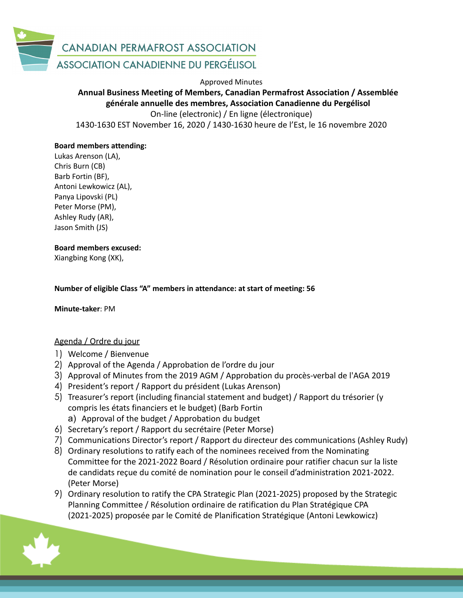

Approved Minutes

# **Annual Business Meeting of Members, Canadian Permafrost Association / Assemblée générale annuelle des membres, Association Canadienne du Pergélisol**

On-line (electronic) / En ligne (électronique) 1430-1630 EST November 16, 2020 / 1430-1630 heure de l'Est, le 16 novembre 2020

## **Board members attending:**

Lukas Arenson (LA), Chris Burn (CB) Barb Fortin (BF), Antoni Lewkowicz (AL), Panya Lipovski (PL) Peter Morse (PM), Ashley Rudy (AR), Jason Smith (JS)

#### **Board members excused:**

Xiangbing Kong (XK),

#### **Number of eligible Class "A" members in attendance: at start of meeting: 56**

**Minute-taker**: PM

## Agenda / Ordre du jour

- 1) Welcome / Bienvenue
- 2) Approval of the Agenda / Approbation de l'ordre du jour
- 3) Approval of Minutes from the 2019 AGM / Approbation du procès-verbal de l'AGA 2019
- 4) President's report / Rapport du président (Lukas Arenson)
- 5) Treasurer's report (including financial statement and budget) / Rapport du trésorier (y compris les états financiers et le budget) (Barb Fortin
	- a) Approval of the budget / Approbation du budget
- 6) Secretary's report / Rapport du secrétaire (Peter Morse)
- 7) Communications Director's report / Rapport du directeur des communications (Ashley Rudy)
- 8) Ordinary resolutions to ratify each of the nominees received from the Nominating Committee for the 2021-2022 Board / Résolution ordinaire pour ratifier chacun sur la liste de candidats reçue du comité de nomination pour le conseil d'administration 2021-2022. (Peter Morse)
- 9) Ordinary resolution to ratify the CPA Strategic Plan (2021-2025) proposed by the Strategic Planning Committee / Résolution ordinaire de ratification du Plan Stratégique CPA (2021-2025) proposée par le Comité de Planification Stratégique (Antoni Lewkowicz)

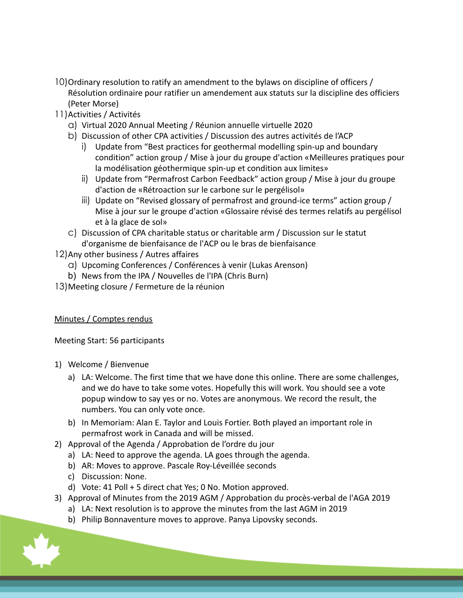- 10) Ordinary resolution to ratify an amendment to the bylaws on discipline of officers / Résolution ordinaire pour ratifier un amendement aux statuts sur la discipline des officiers (Peter Morse)
- 11)Activities / Activités
	- a) Virtual 2020 Annual Meeting / Réunion annuelle virtuelle 2020
	- b) Discussion of other CPA activities / Discussion des autres activités de l'ACP
		- i) Update from "Best practices for geothermal modelling spin-up and boundary condition" action group / Mise à jour du groupe d'action «Meilleures pratiques pour la modélisation géothermique spin-up et condition aux limites»
		- ii) Update from "Permafrost Carbon Feedback" action group / Mise à jour du groupe d'action de «Rétroaction sur le carbone sur le pergélisol»
		- iii) Update on "Revised glossary of permafrost and ground-ice terms" action group / Mise à jour sur le groupe d'action «Glossaire révisé des termes relatifs au pergélisol et à la glace de sol»
	- c) Discussion of CPA charitable status or charitable arm / Discussion sur le statut d'organisme de bienfaisance de l'ACP ou le bras de bienfaisance

12)Any other business / Autres affaires

- a) Upcoming Conferences / Conférences à venir (Lukas Arenson)
- b) News from the IPA / Nouvelles de l'IPA (Chris Burn)
- 13)Meeting closure / Fermeture de la réunion

# Minutes / Comptes rendus

Meeting Start: 56 participants

- 1) Welcome / Bienvenue
	- a) LA: Welcome. The first time that we have done this online. There are some challenges, and we do have to take some votes. Hopefully this will work. You should see a vote popup window to say yes or no. Votes are anonymous. We record the result, the numbers. You can only vote once.
	- b) In Memoriam: Alan E. Taylor and Louis Fortier. Both played an important role in permafrost work in Canada and will be missed.
- 2) Approval of the Agenda / Approbation de l'ordre du jour
	- a) LA: Need to approve the agenda. LA goes through the agenda.
	- b) AR: Moves to approve. Pascale Roy-Léveillée seconds
	- c) Discussion: None.
	- d) Vote: 41 Poll + 5 direct chat Yes; 0 No. Motion approved.
- 3) Approval of Minutes from the 2019 AGM / Approbation du procès-verbal de l'AGA 2019
	- a) LA: Next resolution is to approve the minutes from the last AGM in 2019
	- b) Philip Bonnaventure moves to approve. Panya Lipovsky seconds.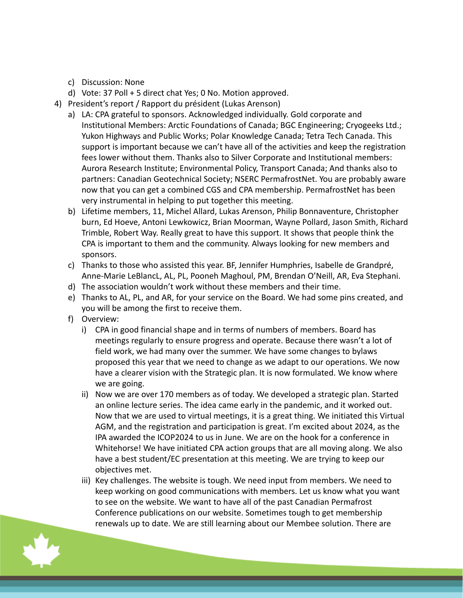- c) Discussion: None
- d) Vote: 37 Poll + 5 direct chat Yes; 0 No. Motion approved.
- 4) President's report / Rapport du président (Lukas Arenson)
	- a) LA: CPA grateful to sponsors. Acknowledged individually. Gold corporate and Institutional Members: Arctic Foundations of Canada; BGC Engineering; Cryogeeks Ltd.; Yukon Highways and Public Works; Polar Knowledge Canada; Tetra Tech Canada. This support is important because we can't have all of the activities and keep the registration fees lower without them. Thanks also to Silver Corporate and Institutional members: Aurora Research Institute; Environmental Policy, Transport Canada; And thanks also to partners: Canadian Geotechnical Society; NSERC PermafrostNet. You are probably aware now that you can get a combined CGS and CPA membership. PermafrostNet has been very instrumental in helping to put together this meeting.
	- b) Lifetime members, 11, Michel Allard, Lukas Arenson, Philip Bonnaventure, Christopher burn, Ed Hoeve, Antoni Lewkowicz, Brian Moorman, Wayne Pollard, Jason Smith, Richard Trimble, Robert Way. Really great to have this support. It shows that people think the CPA is important to them and the community. Always looking for new members and sponsors.
	- c) Thanks to those who assisted this year. BF, Jennifer Humphries, Isabelle de Grandpré, Anne-Marie LeBlancL, AL, PL, Pooneh Maghoul, PM, Brendan O'Neill, AR, Eva Stephani.
	- d) The association wouldn't work without these members and their time.
	- e) Thanks to AL, PL, and AR, for your service on the Board. We had some pins created, and you will be among the first to receive them.
	- f) Overview:
		- i) CPA in good financial shape and in terms of numbers of members. Board has meetings regularly to ensure progress and operate. Because there wasn't a lot of field work, we had many over the summer. We have some changes to bylaws proposed this year that we need to change as we adapt to our operations. We now have a clearer vision with the Strategic plan. It is now formulated. We know where we are going.
		- ii) Now we are over 170 members as of today. We developed a strategic plan. Started an online lecture series. The idea came early in the pandemic, and it worked out. Now that we are used to virtual meetings, it is a great thing. We initiated this Virtual AGM, and the registration and participation is great. I'm excited about 2024, as the IPA awarded the ICOP2024 to us in June. We are on the hook for a conference in Whitehorse! We have initiated CPA action groups that are all moving along. We also have a best student/EC presentation at this meeting. We are trying to keep our objectives met.
		- iii) Key challenges. The website is tough. We need input from members. We need to keep working on good communications with members. Let us know what you want to see on the website. We want to have all of the past Canadian Permafrost Conference publications on our website. Sometimes tough to get membership renewals up to date. We are still learning about our Membee solution. There are

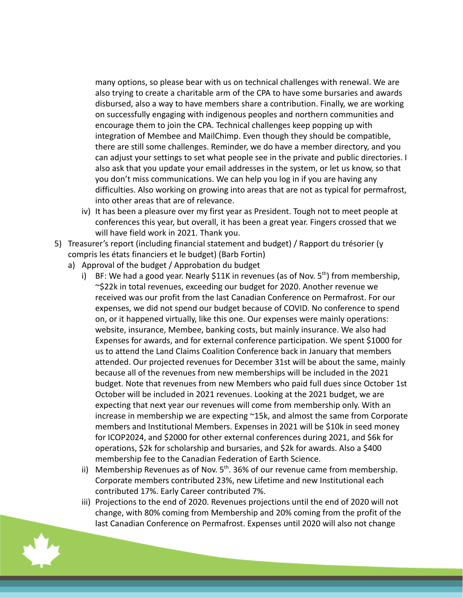many options, so please bear with us on technical challenges with renewal. We are also trying to create a charitable arm of the CPA to have some bursaries and awards disbursed, also a way to have members share a contribution. Finally, we are working on successfully engaging with indigenous peoples and northern communities and encourage them to join the CPA. Technical challenges keep popping up with integration of Membee and MailChimp. Even though they should be compatible, there are still some challenges. Reminder, we do have a member directory, and you can adjust your settings to set what people see in the private and public directories. I also ask that you update your email addresses in the system, or let us know, so that you don't miss communications. We can help you log in if you are having any difficulties. Also working on growing into areas that are not as typical for permafrost, into other areas that are of relevance.

- iv) It has been a pleasure over my first year as President. Tough not to meet people at conferences this year, but overall, it has been a great year. Fingers crossed that we will have field work in 2021. Thank you.
- 5) Treasurer's report (including financial statement and budget) / Rapport du trésorier (y compris les états financiers et le budget) (Barb Fortin)
	- a) Approval of the budget / Approbation du budget
		- i) BF: We had a good year. Nearly \$11K in revenues (as of Nov.  $5<sup>th</sup>$ ) from membership, ~\$22k in total revenues, exceeding our budget for 2020. Another revenue we received was our profit from the last Canadian Conference on Permafrost. For our expenses, we did not spend our budget because of COVID. No conference to spend on, or it happened virtually, like this one. Our expenses were mainly operations: website, insurance, Membee, banking costs, but mainly insurance. We also had Expenses for awards, and for external conference participation. We spent \$1000 for us to attend the Land Claims Coalition Conference back in January that members attended. Our projected revenues for December 31st will be about the same, mainly because all of the revenues from new memberships will be included in the 2021 budget. Note that revenues from new Members who paid full dues since October 1st October will be included in 2021 revenues. Looking at the 2021 budget, we are expecting that next year our revenues will come from membership only. With an increase in membership we are expecting ~15k, and almost the same from Corporate members and Institutional Members. Expenses in 2021 will be \$10k in seed money for ICOP2024, and \$2000 for other external conferences during 2021, and \$6k for operations, \$2k for scholarship and bursaries, and \$2k for awards. Also a \$400 membership fee to the Canadian Federation of Earth Science.
		- ii) Membership Revenues as of Nov.  $5<sup>th</sup>$ . 36% of our revenue came from membership. Corporate members contributed 23%, new Lifetime and new Institutional each contributed 17%. Early Career contributed 7%.
		- iii) Projections to the end of 2020. Revenues projections until the end of 2020 will not change, with 80% coming from Membership and 20% coming from the profit of the last Canadian Conference on Permafrost. Expenses until 2020 will also not change

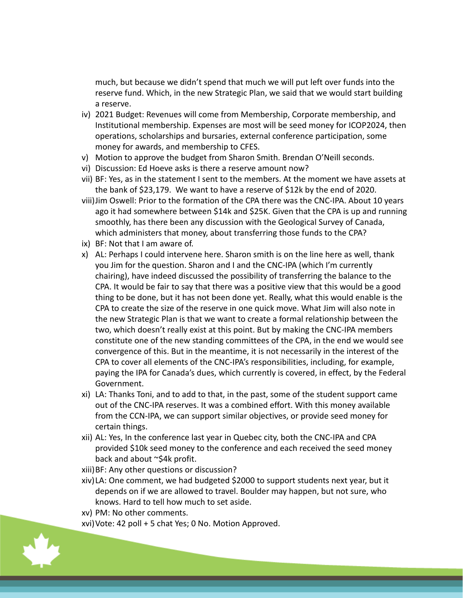much, but because we didn't spend that much we will put left over funds into the reserve fund. Which, in the new Strategic Plan, we said that we would start building a reserve.

- iv) 2021 Budget: Revenues will come from Membership, Corporate membership, and Institutional membership. Expenses are most will be seed money for ICOP2024, then operations, scholarships and bursaries, external conference participation, some money for awards, and membership to CFES.
- v) Motion to approve the budget from Sharon Smith. Brendan O'Neill seconds.
- vi) Discussion: Ed Hoeve asks is there a reserve amount now?
- vii) BF: Yes, as in the statement I sent to the members. At the moment we have assets at the bank of \$23,179. We want to have a reserve of \$12k by the end of 2020.
- viii)Jim Oswell: Prior to the formation of the CPA there was the CNC-IPA. About 10 years ago it had somewhere between \$14k and \$25K. Given that the CPA is up and running smoothly, has there been any discussion with the Geological Survey of Canada, which administers that money, about transferring those funds to the CPA?
- ix) BF: Not that I am aware of.
- x) AL: Perhaps I could intervene here. Sharon smith is on the line here as well, thank you Jim for the question. Sharon and I and the CNC-IPA (which I'm currently chairing), have indeed discussed the possibility of transferring the balance to the CPA. It would be fair to say that there was a positive view that this would be a good thing to be done, but it has not been done yet. Really, what this would enable is the CPA to create the size of the reserve in one quick move. What Jim will also note in the new Strategic Plan is that we want to create a formal relationship between the two, which doesn't really exist at this point. But by making the CNC-IPA members constitute one of the new standing committees of the CPA, in the end we would see convergence of this. But in the meantime, it is not necessarily in the interest of the CPA to cover all elements of the CNC-IPA's responsibilities, including, for example, paying the IPA for Canada's dues, which currently is covered, in effect, by the Federal Government.
- xi) LA: Thanks Toni, and to add to that, in the past, some of the student support came out of the CNC-IPA reserves. It was a combined effort. With this money available from the CCN-IPA, we can support similar objectives, or provide seed money for certain things.
- xii) AL: Yes, In the conference last year in Quebec city, both the CNC-IPA and CPA provided \$10k seed money to the conference and each received the seed money back and about ~\$4k profit.
- xiii)BF: Any other questions or discussion?
- xiv)LA: One comment, we had budgeted \$2000 to support students next year, but it depends on if we are allowed to travel. Boulder may happen, but not sure, who knows. Hard to tell how much to set aside.
- xv) PM: No other comments.
- xvi)Vote: 42 poll + 5 chat Yes; 0 No. Motion Approved.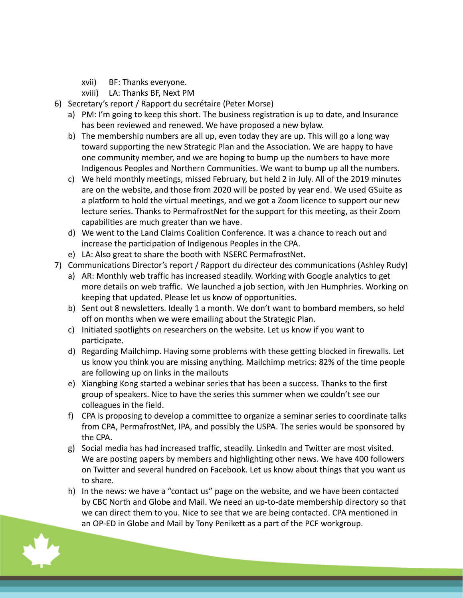- xvii) BF: Thanks everyone.
- xviii) LA: Thanks BF, Next PM
- 6) Secretary's report / Rapport du secrétaire (Peter Morse)
	- a) PM: I'm going to keep this short. The business registration is up to date, and Insurance has been reviewed and renewed. We have proposed a new bylaw.
	- b) The membership numbers are all up, even today they are up. This will go a long way toward supporting the new Strategic Plan and the Association. We are happy to have one community member, and we are hoping to bump up the numbers to have more Indigenous Peoples and Northern Communities. We want to bump up all the numbers.
	- c) We held monthly meetings, missed February, but held 2 in July. All of the 2019 minutes are on the website, and those from 2020 will be posted by year end. We used GSuite as a platform to hold the virtual meetings, and we got a Zoom licence to support our new lecture series. Thanks to PermafrostNet for the support for this meeting, as their Zoom capabilities are much greater than we have.
	- d) We went to the Land Claims Coalition Conference. It was a chance to reach out and increase the participation of Indigenous Peoples in the CPA.
	- e) LA: Also great to share the booth with NSERC PermafrostNet.
- 7) Communications Director's report / Rapport du directeur des communications (Ashley Rudy)
	- a) AR: Monthly web traffic has increased steadily. Working with Google analytics to get more details on web traffic. We launched a job section, with Jen Humphries. Working on keeping that updated. Please let us know of opportunities.
	- b) Sent out 8 newsletters. Ideally 1 a month. We don't want to bombard members, so held off on months when we were emailing about the Strategic Plan.
	- c) Initiated spotlights on researchers on the website. Let us know if you want to participate.
	- d) Regarding Mailchimp. Having some problems with these getting blocked in firewalls. Let us know you think you are missing anything. Mailchimp metrics: 82% of the time people are following up on links in the mailouts
	- e) Xiangbing Kong started a webinar series that has been a success. Thanks to the first group of speakers. Nice to have the series this summer when we couldn't see our colleagues in the field.
	- f) CPA is proposing to develop a committee to organize a seminar series to coordinate talks from CPA, PermafrostNet, IPA, and possibly the USPA. The series would be sponsored by the CPA.
	- g) Social media has had increased traffic, steadily. LinkedIn and Twitter are most visited. We are posting papers by members and highlighting other news. We have 400 followers on Twitter and several hundred on Facebook. Let us know about things that you want us to share.
	- h) In the news: we have a "contact us" page on the website, and we have been contacted by CBC North and Globe and Mail. We need an up-to-date membership directory so that we can direct them to you. Nice to see that we are being contacted. CPA mentioned in an OP-ED in Globe and Mail by Tony Penikett as a part of the PCF workgroup.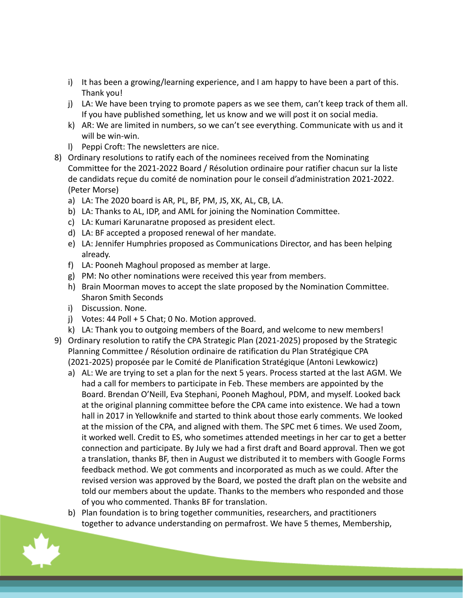- i) It has been a growing/learning experience, and I am happy to have been a part of this. Thank you!
- j) LA: We have been trying to promote papers as we see them, can't keep track of them all. If you have published something, let us know and we will post it on social media.
- k) AR: We are limited in numbers, so we can't see everything. Communicate with us and it will be win-win.
- l) Peppi Croft: The newsletters are nice.
- 8) Ordinary resolutions to ratify each of the nominees received from the Nominating Committee for the 2021-2022 Board / Résolution ordinaire pour ratifier chacun sur la liste de candidats reçue du comité de nomination pour le conseil d'administration 2021-2022. (Peter Morse)
	- a) LA: The 2020 board is AR, PL, BF, PM, JS, XK, AL, CB, LA.
	- b) LA: Thanks to AL, IDP, and AML for joining the Nomination Committee.
	- c) LA: Kumari Karunaratne proposed as president elect.
	- d) LA: BF accepted a proposed renewal of her mandate.
	- e) LA: Jennifer Humphries proposed as Communications Director, and has been helping already.
	- f) LA: Pooneh Maghoul proposed as member at large.
	- g) PM: No other nominations were received this year from members.
	- h) Brain Moorman moves to accept the slate proposed by the Nomination Committee. Sharon Smith Seconds
	- i) Discussion. None.
	- j) Votes: 44 Poll + 5 Chat; 0 No. Motion approved.
	- k) LA: Thank you to outgoing members of the Board, and welcome to new members!
- 9) Ordinary resolution to ratify the CPA Strategic Plan (2021-2025) proposed by the Strategic Planning Committee / Résolution ordinaire de ratification du Plan Stratégique CPA (2021-2025) proposée par le Comité de Planification Stratégique (Antoni Lewkowicz)
	- a) AL: We are trying to set a plan for the next 5 years. Process started at the last AGM. We had a call for members to participate in Feb. These members are appointed by the Board. Brendan O'Neill, Eva Stephani, Pooneh Maghoul, PDM, and myself. Looked back at the original planning committee before the CPA came into existence. We had a town hall in 2017 in Yellowknife and started to think about those early comments. We looked at the mission of the CPA, and aligned with them. The SPC met 6 times. We used Zoom, it worked well. Credit to ES, who sometimes attended meetings in her car to get a better connection and participate. By July we had a first draft and Board approval. Then we got a translation, thanks BF, then in August we distributed it to members with Google Forms feedback method. We got comments and incorporated as much as we could. After the revised version was approved by the Board, we posted the draft plan on the website and told our members about the update. Thanks to the members who responded and those of you who commented. Thanks BF for translation.
	- b) Plan foundation is to bring together communities, researchers, and practitioners together to advance understanding on permafrost. We have 5 themes, Membership,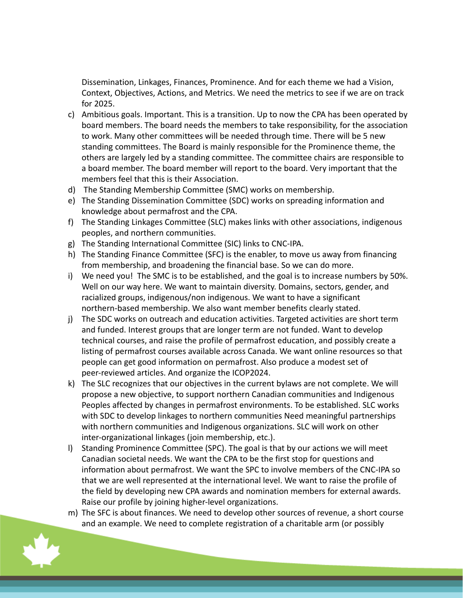Dissemination, Linkages, Finances, Prominence. And for each theme we had a Vision, Context, Objectives, Actions, and Metrics. We need the metrics to see if we are on track for 2025.

- c) Ambitious goals. Important. This is a transition. Up to now the CPA has been operated by board members. The board needs the members to take responsibility, for the association to work. Many other committees will be needed through time. There will be 5 new standing committees. The Board is mainly responsible for the Prominence theme, the others are largely led by a standing committee. The committee chairs are responsible to a board member. The board member will report to the board. Very important that the members feel that this is their Association.
- d) The Standing Membership Committee (SMC) works on membership.
- e) The Standing Dissemination Committee (SDC) works on spreading information and knowledge about permafrost and the CPA.
- f) The Standing Linkages Committee (SLC) makes links with other associations, indigenous peoples, and northern communities.
- g) The Standing International Committee (SIC) links to CNC-IPA.
- h) The Standing Finance Committee (SFC) is the enabler, to move us away from financing from membership, and broadening the financial base. So we can do more.
- i) We need you! The SMC is to be established, and the goal is to increase numbers by 50%. Well on our way here. We want to maintain diversity. Domains, sectors, gender, and racialized groups, indigenous/non indigenous. We want to have a significant northern-based membership. We also want member benefits clearly stated.
- j) The SDC works on outreach and education activities. Targeted activities are short term and funded. Interest groups that are longer term are not funded. Want to develop technical courses, and raise the profile of permafrost education, and possibly create a listing of permafrost courses available across Canada. We want online resources so that people can get good information on permafrost. Also produce a modest set of peer-reviewed articles. And organize the ICOP2024.
- k) The SLC recognizes that our objectives in the current bylaws are not complete. We will propose a new objective, to support northern Canadian communities and Indigenous Peoples affected by changes in permafrost environments. To be established. SLC works with SDC to develop linkages to northern communities Need meaningful partnerships with northern communities and Indigenous organizations. SLC will work on other inter-organizational linkages (join membership, etc.).
- l) Standing Prominence Committee (SPC). The goal is that by our actions we will meet Canadian societal needs. We want the CPA to be the first stop for questions and information about permafrost. We want the SPC to involve members of the CNC-IPA so that we are well represented at the international level. We want to raise the profile of the field by developing new CPA awards and nomination members for external awards. Raise our profile by joining higher-level organizations.
- m) The SFC is about finances. We need to develop other sources of revenue, a short course and an example. We need to complete registration of a charitable arm (or possibly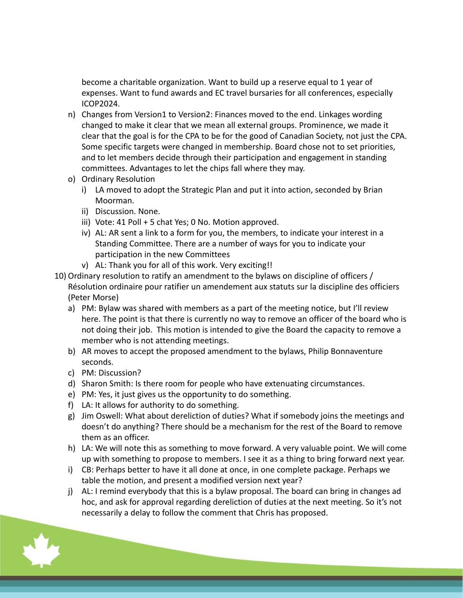become a charitable organization. Want to build up a reserve equal to 1 year of expenses. Want to fund awards and EC travel bursaries for all conferences, especially ICOP2024.

- n) Changes from Version1 to Version2: Finances moved to the end. Linkages wording changed to make it clear that we mean all external groups. Prominence, we made it clear that the goal is for the CPA to be for the good of Canadian Society, not just the CPA. Some specific targets were changed in membership. Board chose not to set priorities, and to let members decide through their participation and engagement in standing committees. Advantages to let the chips fall where they may.
- o) Ordinary Resolution
	- i) LA moved to adopt the Strategic Plan and put it into action, seconded by Brian Moorman.
	- ii) Discussion. None.
	- iii) Vote: 41 Poll + 5 chat Yes; 0 No. Motion approved.
	- iv) AL: AR sent a link to a form for you, the members, to indicate your interest in a Standing Committee. There are a number of ways for you to indicate your participation in the new Committees
	- v) AL: Thank you for all of this work. Very exciting!!
- 10) Ordinary resolution to ratify an amendment to the bylaws on discipline of officers / Résolution ordinaire pour ratifier un amendement aux statuts sur la discipline des officiers (Peter Morse)
	- a) PM: Bylaw was shared with members as a part of the meeting notice, but I'll review here. The point is that there is currently no way to remove an officer of the board who is not doing their job. This motion is intended to give the Board the capacity to remove a member who is not attending meetings.
	- b) AR moves to accept the proposed amendment to the bylaws, Philip Bonnaventure seconds.
	- c) PM: Discussion?
	- d) Sharon Smith: Is there room for people who have extenuating circumstances.
	- e) PM: Yes, it just gives us the opportunity to do something.
	- f) LA: It allows for authority to do something.
	- g) Jim Oswell: What about dereliction of duties? What if somebody joins the meetings and doesn't do anything? There should be a mechanism for the rest of the Board to remove them as an officer.
	- h) LA: We will note this as something to move forward. A very valuable point. We will come up with something to propose to members. I see it as a thing to bring forward next year.
	- i) CB: Perhaps better to have it all done at once, in one complete package. Perhaps we table the motion, and present a modified version next year?
	- j) AL: I remind everybody that this is a bylaw proposal. The board can bring in changes ad hoc, and ask for approval regarding dereliction of duties at the next meeting. So it's not necessarily a delay to follow the comment that Chris has proposed.

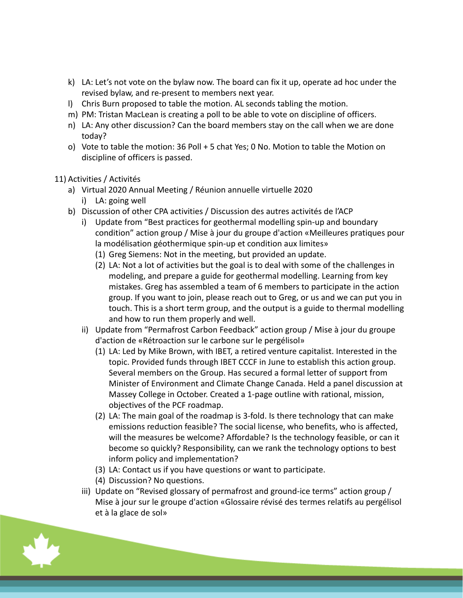- k) LA: Let's not vote on the bylaw now. The board can fix it up, operate ad hoc under the revised bylaw, and re-present to members next year.
- l) Chris Burn proposed to table the motion. AL seconds tabling the motion.
- m) PM: Tristan MacLean is creating a poll to be able to vote on discipline of officers.
- n) LA: Any other discussion? Can the board members stay on the call when we are done today?
- o) Vote to table the motion: 36 Poll + 5 chat Yes; 0 No. Motion to table the Motion on discipline of officers is passed.

# 11) Activities / Activités

- a) Virtual 2020 Annual Meeting / Réunion annuelle virtuelle 2020
	- i) LA: going well
- b) Discussion of other CPA activities / Discussion des autres activités de l'ACP
	- i) Update from "Best practices for geothermal modelling spin-up and boundary condition" action group / Mise à jour du groupe d'action «Meilleures pratiques pour la modélisation géothermique spin-up et condition aux limites»
		- (1) Greg Siemens: Not in the meeting, but provided an update.
		- (2) LA: Not a lot of activities but the goal is to deal with some of the challenges in modeling, and prepare a guide for geothermal modelling. Learning from key mistakes. Greg has assembled a team of 6 members to participate in the action group. If you want to join, please reach out to Greg, or us and we can put you in touch. This is a short term group, and the output is a guide to thermal modelling and how to run them properly and well.
	- ii) Update from "Permafrost Carbon Feedback" action group / Mise à jour du groupe d'action de «Rétroaction sur le carbone sur le pergélisol»
		- (1) LA: Led by Mike Brown, with IBET, a retired venture capitalist. Interested in the topic. Provided funds through IBET CCCF in June to establish this action group. Several members on the Group. Has secured a formal letter of support from Minister of Environment and Climate Change Canada. Held a panel discussion at Massey College in October. Created a 1-page outline with rational, mission, objectives of the PCF roadmap.
		- (2) LA: The main goal of the roadmap is 3-fold. Is there technology that can make emissions reduction feasible? The social license, who benefits, who is affected, will the measures be welcome? Affordable? Is the technology feasible, or can it become so quickly? Responsibility, can we rank the technology options to best inform policy and implementation?
		- (3) LA: Contact us if you have questions or want to participate.
		- (4) Discussion? No questions.
	- iii) Update on "Revised glossary of permafrost and ground-ice terms" action group / Mise à jour sur le groupe d'action «Glossaire révisé des termes relatifs au pergélisol et à la glace de sol»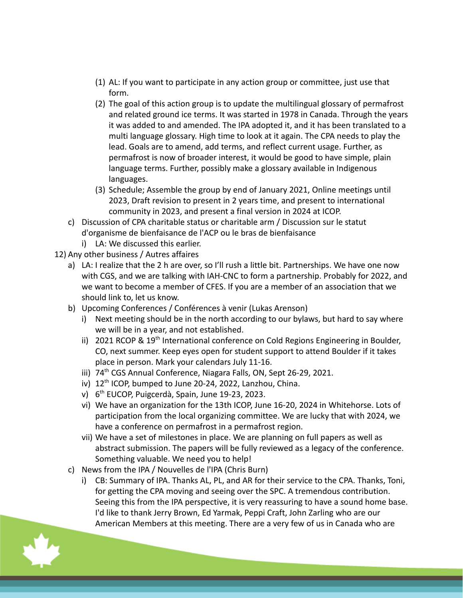- (1) AL: If you want to participate in any action group or committee, just use that form.
- (2) The goal of this action group is to update the multilingual glossary of permafrost and related ground ice terms. It was started in 1978 in Canada. Through the years it was added to and amended. The IPA adopted it, and it has been translated to a multi language glossary. High time to look at it again. The CPA needs to play the lead. Goals are to amend, add terms, and reflect current usage. Further, as permafrost is now of broader interest, it would be good to have simple, plain language terms. Further, possibly make a glossary available in Indigenous languages.
- (3) Schedule; Assemble the group by end of January 2021, Online meetings until 2023, Draft revision to present in 2 years time, and present to international community in 2023, and present a final version in 2024 at ICOP.
- c) Discussion of CPA charitable status or charitable arm / Discussion sur le statut d'organisme de bienfaisance de l'ACP ou le bras de bienfaisance
	- i) LA: We discussed this earlier.
- 12) Any other business / Autres affaires
	- a) LA: I realize that the 2 h are over, so I'll rush a little bit. Partnerships. We have one now with CGS, and we are talking with IAH-CNC to form a partnership. Probably for 2022, and we want to become a member of CFES. If you are a member of an association that we should link to, let us know.
	- b) Upcoming Conferences / Conférences à venir (Lukas Arenson)
		- i) Next meeting should be in the north according to our bylaws, but hard to say where we will be in a year, and not established.
		- ii) 2021 RCOP & 19<sup>th</sup> International conference on Cold Regions Engineering in Boulder, CO, next summer. Keep eyes open for student support to attend Boulder if it takes place in person. Mark your calendars July 11-16.
		- iii) 74<sup>th</sup> CGS Annual Conference, Niagara Falls, ON, Sept 26-29, 2021.
		- iv) 12<sup>th</sup> ICOP, bumped to June 20-24, 2022, Lanzhou, China.
		- v) 6 th EUCOP, Puigcerdà, Spain, June 19-23, 2023.
		- vi) We have an organization for the 13th ICOP, June 16-20, 2024 in Whitehorse. Lots of participation from the local organizing committee. We are lucky that with 2024, we have a conference on permafrost in a permafrost region.
		- vii) We have a set of milestones in place. We are planning on full papers as well as abstract submission. The papers will be fully reviewed as a legacy of the conference. Something valuable. We need you to help!
	- c) News from the IPA / Nouvelles de l'IPA (Chris Burn)
		- i) CB: Summary of IPA. Thanks AL, PL, and AR for their service to the CPA. Thanks, Toni, for getting the CPA moving and seeing over the SPC. A tremendous contribution. Seeing this from the IPA perspective, it is very reassuring to have a sound home base. I'd like to thank Jerry Brown, Ed Yarmak, Peppi Craft, John Zarling who are our American Members at this meeting. There are a very few of us in Canada who are